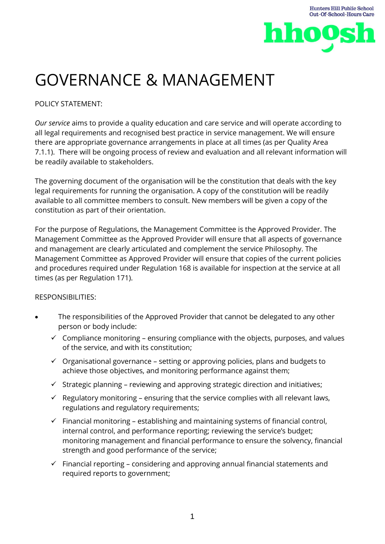

# GOVERNANCE & MANAGEMENT

## POLICY STATEMENT:

*Our service* aims to provide a quality education and care service and will operate according to all legal requirements and recognised best practice in service management. We will ensure there are appropriate governance arrangements in place at all times (as per Quality Area 7.1.1). There will be ongoing process of review and evaluation and all relevant information will be readily available to stakeholders.

The governing document of the organisation will be the constitution that deals with the key legal requirements for running the organisation. A copy of the constitution will be readily available to all committee members to consult. New members will be given a copy of the constitution as part of their orientation.

For the purpose of Regulations, the Management Committee is the Approved Provider. The Management Committee as the Approved Provider will ensure that all aspects of governance and management are clearly articulated and complement the service Philosophy. The Management Committee as Approved Provider will ensure that copies of the current policies and procedures required under Regulation 168 is available for inspection at the service at all times (as per Regulation 171).

#### RESPONSIBILITIES:

- The responsibilities of the Approved Provider that cannot be delegated to any other person or body include:
	- $\checkmark$  Compliance monitoring ensuring compliance with the objects, purposes, and values of the service, and with its constitution;
	- $\checkmark$  Organisational governance setting or approving policies, plans and budgets to achieve those objectives, and monitoring performance against them;
	- $\checkmark$  Strategic planning reviewing and approving strategic direction and initiatives;
	- $\checkmark$  Regulatory monitoring ensuring that the service complies with all relevant laws, regulations and regulatory requirements;
	- $\checkmark$  Financial monitoring establishing and maintaining systems of financial control, internal control, and performance reporting; reviewing the service's budget; monitoring management and financial performance to ensure the solvency, financial strength and good performance of the service;
	- $\checkmark$  Financial reporting considering and approving annual financial statements and required reports to government;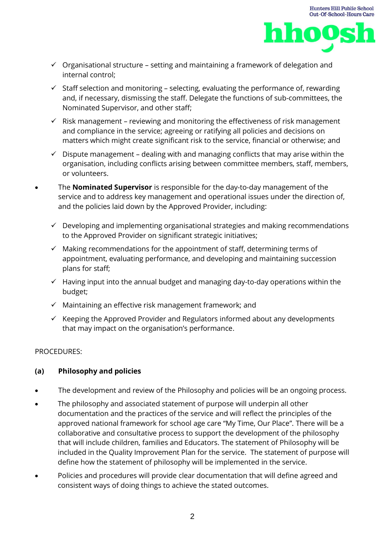



- $\checkmark$  Organisational structure setting and maintaining a framework of delegation and internal control;
- $\checkmark$  Staff selection and monitoring selecting, evaluating the performance of, rewarding and, if necessary, dismissing the staff. Delegate the functions of sub-committees, the Nominated Supervisor, and other staff;
- $\checkmark$  Risk management reviewing and monitoring the effectiveness of risk management and compliance in the service; agreeing or ratifying all policies and decisions on matters which might create significant risk to the service, financial or otherwise; and
- $\checkmark$  Dispute management dealing with and managing conflicts that may arise within the organisation, including conflicts arising between committee members, staff, members, or volunteers.
- The **Nominated Supervisor** is responsible for the day-to-day management of the service and to address key management and operational issues under the direction of, and the policies laid down by the Approved Provider, including:
	- $\checkmark$  Developing and implementing organisational strategies and making recommendations to the Approved Provider on significant strategic initiatives;
	- $\checkmark$  Making recommendations for the appointment of staff, determining terms of appointment, evaluating performance, and developing and maintaining succession plans for staff;
	- $\checkmark$  Having input into the annual budget and managing day-to-day operations within the budget;
	- $\checkmark$  Maintaining an effective risk management framework; and
	- $\checkmark$  Keeping the Approved Provider and Regulators informed about any developments that may impact on the organisation's performance.

#### PROCEDURES:

## **(a) Philosophy and policies**

- The development and review of the Philosophy and policies will be an ongoing process.
- The philosophy and associated statement of purpose will underpin all other documentation and the practices of the service and will reflect the principles of the approved national framework for school age care "My Time, Our Place". There will be a collaborative and consultative process to support the development of the philosophy that will include children, families and Educators. The statement of Philosophy will be included in the Quality Improvement Plan for the service. The statement of purpose will define how the statement of philosophy will be implemented in the service.
- Policies and procedures will provide clear documentation that will define agreed and consistent ways of doing things to achieve the stated outcomes.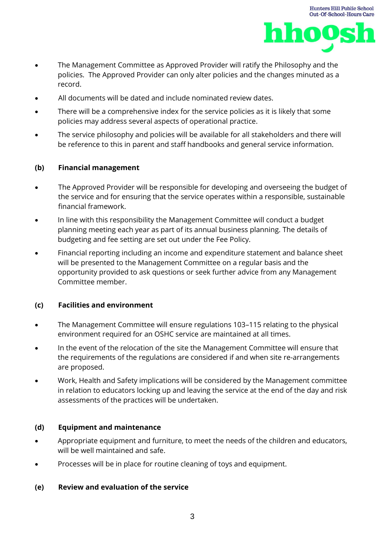



- The Management Committee as Approved Provider will ratify the Philosophy and the policies. The Approved Provider can only alter policies and the changes minuted as a record.
- All documents will be dated and include nominated review dates.
- There will be a comprehensive index for the service policies as it is likely that some policies may address several aspects of operational practice.
- The service philosophy and policies will be available for all stakeholders and there will be reference to this in parent and staff handbooks and general service information.

#### **(b) Financial management**

- The Approved Provider will be responsible for developing and overseeing the budget of the service and for ensuring that the service operates within a responsible, sustainable financial framework.
- In line with this responsibility the Management Committee will conduct a budget planning meeting each year as part of its annual business planning. The details of budgeting and fee setting are set out under the Fee Policy.
- Financial reporting including an income and expenditure statement and balance sheet will be presented to the Management Committee on a regular basis and the opportunity provided to ask questions or seek further advice from any Management Committee member.

#### **(c) Facilities and environment**

- The Management Committee will ensure regulations 103–115 relating to the physical environment required for an OSHC service are maintained at all times.
- In the event of the relocation of the site the Management Committee will ensure that the requirements of the regulations are considered if and when site re-arrangements are proposed.
- Work, Health and Safety implications will be considered by the Management committee in relation to educators locking up and leaving the service at the end of the day and risk assessments of the practices will be undertaken.

#### **(d) Equipment and maintenance**

- Appropriate equipment and furniture, to meet the needs of the children and educators, will be well maintained and safe.
- Processes will be in place for routine cleaning of toys and equipment.

#### **(e) Review and evaluation of the service**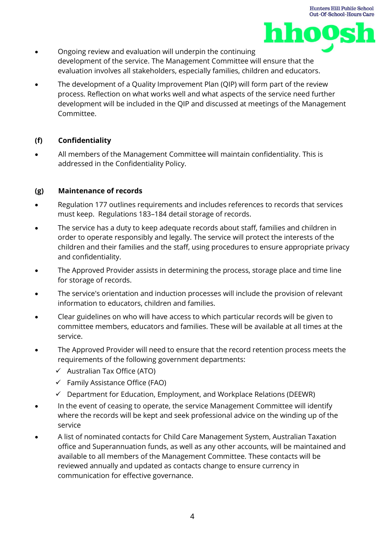

- Ongoing review and evaluation will underpin the continuing development of the service. The Management Committee will ensure that the evaluation involves all stakeholders, especially families, children and educators.
- The development of a Quality Improvement Plan (QIP) will form part of the review process. Reflection on what works well and what aspects of the service need further development will be included in the QIP and discussed at meetings of the Management Committee.

## **(f) Confidentiality**

• All members of the Management Committee will maintain confidentiality. This is addressed in the Confidentiality Policy.

## **(g) Maintenance of records**

- Regulation 177 outlines requirements and includes references to records that services must keep. Regulations 183–184 detail storage of records.
- The service has a duty to keep adequate records about staff, families and children in order to operate responsibly and legally. The service will protect the interests of the children and their families and the staff, using procedures to ensure appropriate privacy and confidentiality.
- The Approved Provider assists in determining the process, storage place and time line for storage of records.
- The service's orientation and induction processes will include the provision of relevant information to educators, children and families.
- Clear guidelines on who will have access to which particular records will be given to committee members, educators and families. These will be available at all times at the service.
- The Approved Provider will need to ensure that the record retention process meets the requirements of the following government departments:
	- $\checkmark$  Australian Tax Office (ATO)
	- $\checkmark$  Family Assistance Office (FAO)
	- $\checkmark$  Department for Education, Employment, and Workplace Relations (DEEWR)
- In the event of ceasing to operate, the service Management Committee will identify where the records will be kept and seek professional advice on the winding up of the service
- A list of nominated contacts for Child Care Management System, Australian Taxation office and Superannuation funds, as well as any other accounts, will be maintained and available to all members of the Management Committee. These contacts will be reviewed annually and updated as contacts change to ensure currency in communication for effective governance.